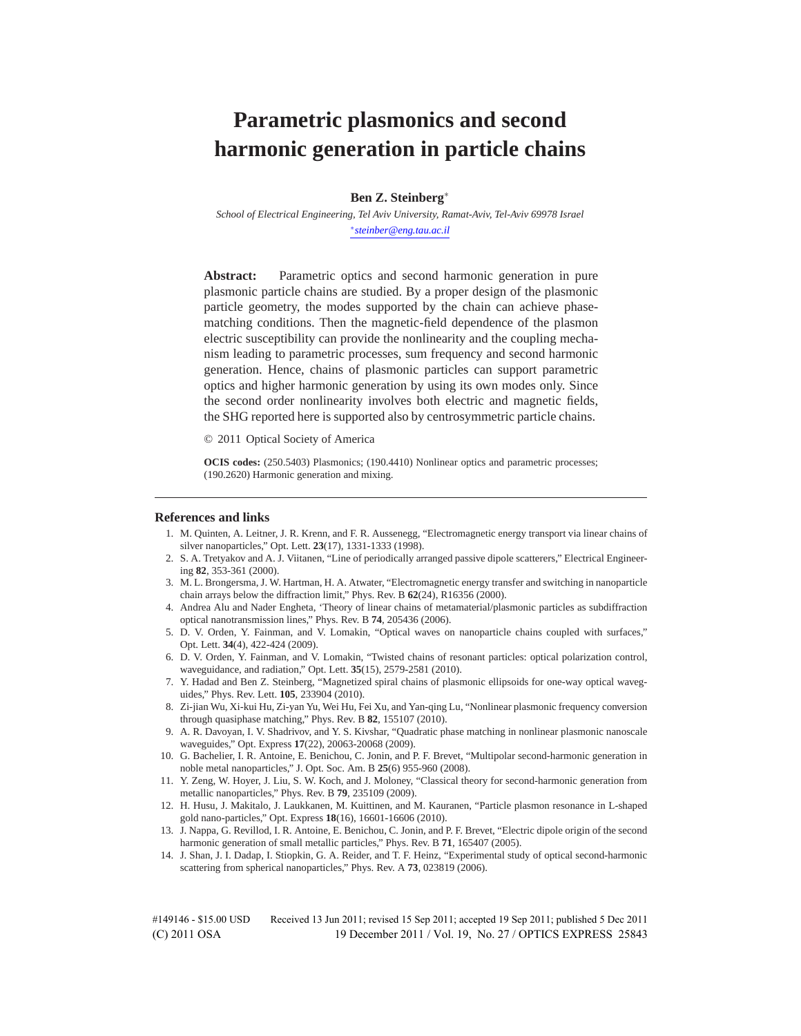# **Parametric plasmonics and second harmonic generation in particle chains**

**Ben Z. Steinberg**<sup>∗</sup>

*School of Electrical Engineering, Tel Aviv University, Ramat-Aviv, Tel-Aviv 69978 Israel* <sup>∗</sup>*steinber@eng.tau.ac.il*

**Abstract:** Parametric optics and second harmonic generation in pure plasmonic particle chains are studied. By a proper design of the plasmonic particle geometry, the modes supported by the chain can achieve phasematching conditions. Then the magnetic-field dependence of the plasmon electric susceptibility can provide the nonlinearity and the coupling mechanism leading to parametric processes, sum frequency and second harmonic generation. Hence, chains of plasmonic particles can support parametric optics and higher harmonic generation by using its own modes only. Since the second order nonlinearity involves both electric and magnetic fields, the SHG reported here is supported also by centrosymmetric particle chains.

© 2011 Optical Society of America

**OCIS codes:** (250.5403) Plasmonics; (190.4410) Nonlinear optics and parametric processes; (190.2620) Harmonic generation and mixing.

#### **References and links**

- 1. M. Quinten, A. Leitner, J. R. Krenn, and F. R. Aussenegg, "Electromagnetic energy transport via linear chains of silver nanoparticles," Opt. Lett. **23**(17), 1331-1333 (1998).
- 2. S. A. Tretyakov and A. J. Viitanen, "Line of periodically arranged passive dipole scatterers," Electrical Engineering **82**, 353-361 (2000).
- 3. M. L. Brongersma, J. W. Hartman, H. A. Atwater, "Electromagnetic energy transfer and switching in nanoparticle chain arrays below the diffraction limit," Phys. Rev. B **62**(24), R16356 (2000).
- 4. Andrea Alu and Nader Engheta, 'Theory of linear chains of metamaterial/plasmonic particles as subdiffraction optical nanotransmission lines," Phys. Rev. B **74**, 205436 (2006).
- 5. D. V. Orden, Y. Fainman, and V. Lomakin, "Optical waves on nanoparticle chains coupled with surfaces," Opt. Lett. **34**(4), 422-424 (2009).
- 6. D. V. Orden, Y. Fainman, and V. Lomakin, "Twisted chains of resonant particles: optical polarization control, waveguidance, and radiation," Opt. Lett. **35**(15), 2579-2581 (2010).
- 7. Y. Hadad and Ben Z. Steinberg, "Magnetized spiral chains of plasmonic ellipsoids for one-way optical waveguides," Phys. Rev. Lett. **105**, 233904 (2010).
- 8. Zi-jian Wu, Xi-kui Hu, Zi-yan Yu, Wei Hu, Fei Xu, and Yan-qing Lu, "Nonlinear plasmonic frequency conversion through quasiphase matching," Phys. Rev. B **82**, 155107 (2010).
- 9. A. R. Davoyan, I. V. Shadrivov, and Y. S. Kivshar, "Quadratic phase matching in nonlinear plasmonic nanoscale waveguides," Opt. Express **17**(22), 20063-20068 (2009).
- 10. G. Bachelier, I. R. Antoine, E. Benichou, C. Jonin, and P. F. Brevet, "Multipolar second-harmonic generation in noble metal nanoparticles," J. Opt. Soc. Am. B **25**(6) 955-960 (2008).
- 11. Y. Zeng, W. Hoyer, J. Liu, S. W. Koch, and J. Moloney, "Classical theory for second-harmonic generation from metallic nanoparticles," Phys. Rev. B **79**, 235109 (2009).
- 12. H. Husu, J. Makitalo, J. Laukkanen, M. Kuittinen, and M. Kauranen, "Particle plasmon resonance in L-shaped gold nano-particles," Opt. Express **18**(16), 16601-16606 (2010).
- 13. J. Nappa, G. Revillod, I. R. Antoine, E. Benichou, C. Jonin, and P. F. Brevet, "Electric dipole origin of the second harmonic generation of small metallic particles," Phys. Rev. B **71**, 165407 (2005).
- 14. J. Shan, J. I. Dadap, I. Stiopkin, G. A. Reider, and T. F. Heinz, "Experimental study of optical second-harmonic scattering from spherical nanoparticles," Phys. Rev. A **73**, 023819 (2006).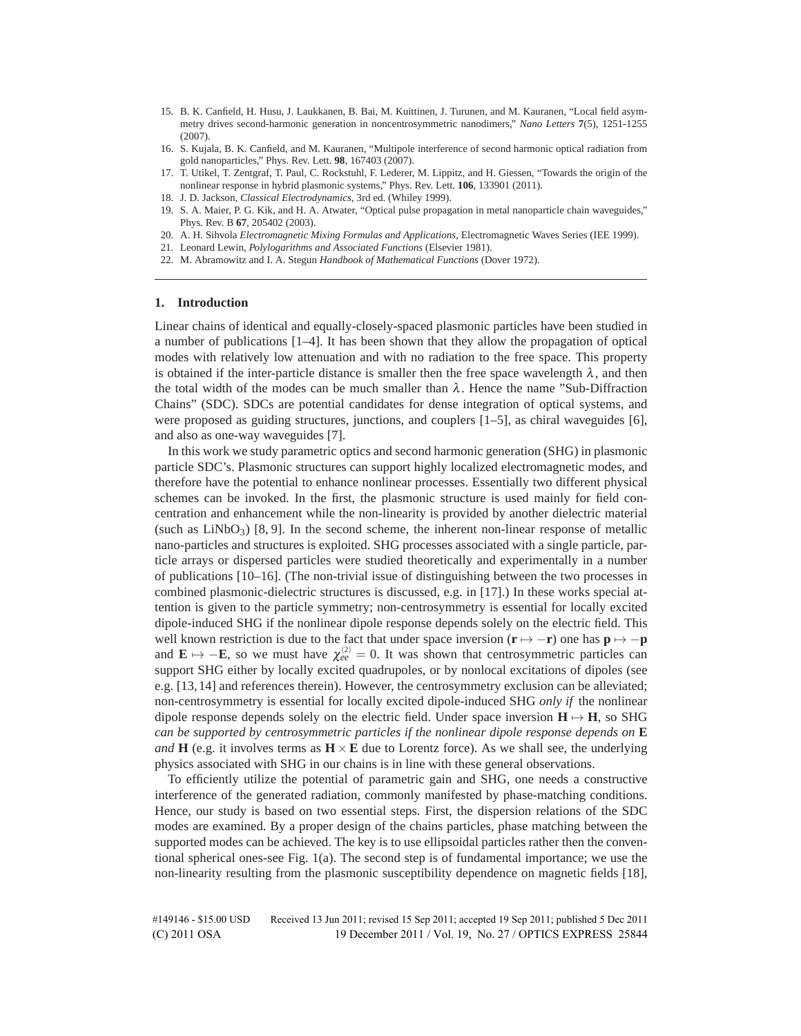- 15. B. K. Canfield, H. Husu, J. Laukkanen, B. Bai, M. Kuittinen, J. Turunen, and M. Kauranen, "Local field asymmetry drives second-harmonic generation in noncentrosymmetric nanodimers," *Nano Letters* **7**(5), 1251-1255  $(2007)$
- 16. S. Kujala, B. K. Canfield, and M. Kauranen, "Multipole interference of second harmonic optical radiation from gold nanoparticles," Phys. Rev. Lett. **98**, 167403 (2007).
- 17. T. Utikel, T. Zentgraf, T. Paul, C. Rockstuhl, F. Lederer, M. Lippitz, and H. Giessen, "Towards the origin of the nonlinear response in hybrid plasmonic systems," Phys. Rev. Lett. **106**, 133901 (2011).
- 18. J. D. Jackson, *Classical Electrodynamics*, 3rd ed. (Whiley 1999).
- 19. S. A. Maier, P. G. Kik, and H. A. Atwater, "Optical pulse propagation in metal nanoparticle chain waveguides," Phys. Rev. B **67**, 205402 (2003).
- 20. A. H. Sihvola *Electromagnetic Mixing Formulas and Applications*, Electromagnetic Waves Series (IEE 1999).
- 21. Leonard Lewin, *Polylogarithms and Associated Functions* (Elsevier 1981).
- 22. M. Abramowitz and I. A. Stegun *Handbook of Mathematical Functions* (Dover 1972).

#### **1. Introduction**

Linear chains of identical and equally-closely-spaced plasmonic particles have been studied in a number of publications [1–4]. It has been shown that they allow the propagation of optical modes with relatively low attenuation and with no radiation to the free space. This property is obtained if the inter-particle distance is smaller then the free space wavelength  $\lambda$ , and then the total width of the modes can be much smaller than  $\lambda$ . Hence the name "Sub-Diffraction" Chains" (SDC). SDCs are potential candidates for dense integration of optical systems, and were proposed as guiding structures, junctions, and couplers  $[1-5]$ , as chiral waveguides  $[6]$ , and also as one-way waveguides [7].

In this work we study parametric optics and second harmonic generation (SHG) in plasmonic particle SDC's. Plasmonic structures can support highly localized electromagnetic modes, and therefore have the potential to enhance nonlinear processes. Essentially two different physical schemes can be invoked. In the first, the plasmonic structure is used mainly for field concentration and enhancement while the non-linearity is provided by another dielectric material (such as  $LiNbO<sub>3</sub>$ ) [8, 9]. In the second scheme, the inherent non-linear response of metallic nano-particles and structures is exploited. SHG processes associated with a single particle, particle arrays or dispersed particles were studied theoretically and experimentally in a number of publications [10–16]. (The non-trivial issue of distinguishing between the two processes in combined plasmonic-dielectric structures is discussed, e.g. in [17].) In these works special attention is given to the particle symmetry; non-centrosymmetry is essential for locally excited dipole-induced SHG if the nonlinear dipole response depends solely on the electric field. This well known restriction is due to the fact that under space inversion ( $\mathbf{r} \mapsto -\mathbf{r}$ ) one has  $\mathbf{p} \mapsto -\mathbf{p}$ and  $\mathbf{E} \mapsto -\mathbf{E}$ , so we must have  $\chi_{ee}^{(2)} = 0$ . It was shown that centrosymmetric particles can support SHG either by locally excited quadrupoles, or by nonlocal excitations of dipoles (see e.g. [13, 14] and references therein). However, the centrosymmetry exclusion can be alleviated; non-centrosymmetry is essential for locally excited dipole-induced SHG *only if* the nonlinear dipole response depends solely on the electric field. Under space inversion  $H \mapsto H$ , so SHG *can be supported by centrosymmetric particles if the nonlinear dipole response depends on* **E** *and* **H** (e.g. it involves terms as  $\mathbf{H} \times \mathbf{E}$  due to Lorentz force). As we shall see, the underlying physics associated with SHG in our chains is in line with these general observations.

To efficiently utilize the potential of parametric gain and SHG, one needs a constructive interference of the generated radiation, commonly manifested by phase-matching conditions. Hence, our study is based on two essential steps. First, the dispersion relations of the SDC modes are examined. By a proper design of the chains particles, phase matching between the supported modes can be achieved. The key is to use ellipsoidal particles rather then the conventional spherical ones-see Fig. 1(a). The second step is of fundamental importance; we use the non-linearity resulting from the plasmonic susceptibility dependence on magnetic fields [18],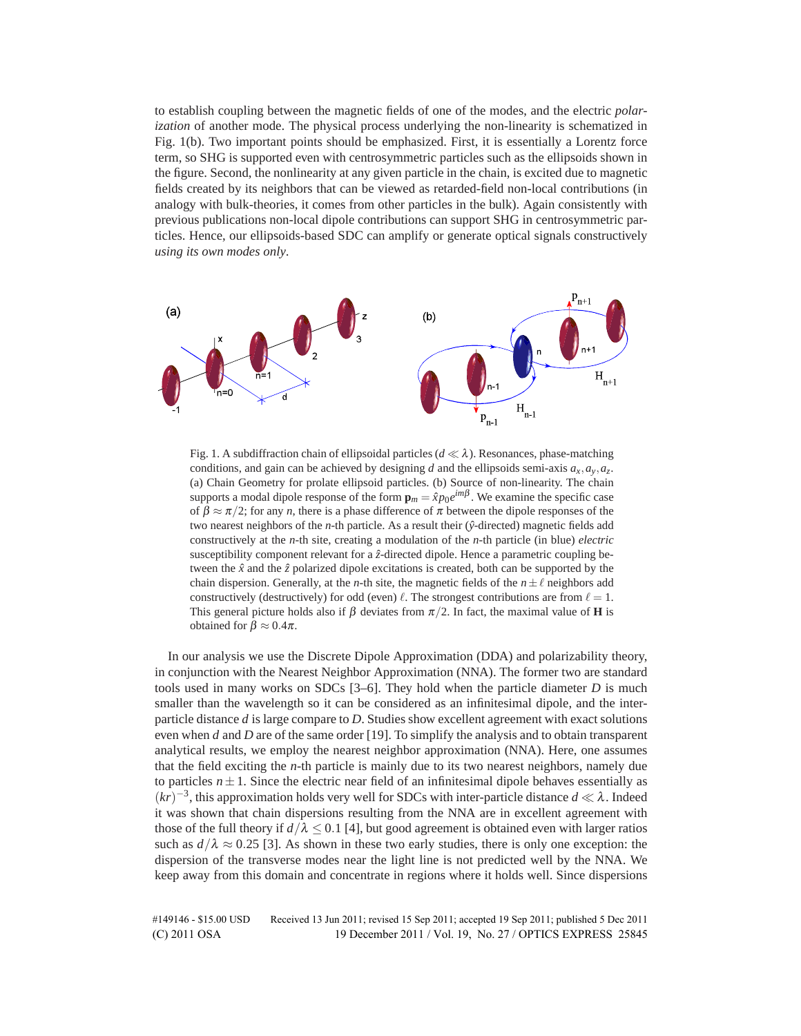to establish coupling between the magnetic fields of one of the modes, and the electric *polarization* of another mode. The physical process underlying the non-linearity is schematized in Fig. 1(b). Two important points should be emphasized. First, it is essentially a Lorentz force term, so SHG is supported even with centrosymmetric particles such as the ellipsoids shown in the figure. Second, the nonlinearity at any given particle in the chain, is excited due to magnetic fields created by its neighbors that can be viewed as retarded-field non-local contributions (in analogy with bulk-theories, it comes from other particles in the bulk). Again consistently with previous publications non-local dipole contributions can support SHG in centrosymmetric particles. Hence, our ellipsoids-based SDC can amplify or generate optical signals constructively *using its own modes only*.



Fig. 1. A subdiffraction chain of ellipsoidal particles  $(d \ll \lambda)$ . Resonances, phase-matching conditions, and gain can be achieved by designing *d* and the ellipsoids semi-axis  $a_x$ ,  $a_y$ ,  $a_z$ . (a) Chain Geometry for prolate ellipsoid particles. (b) Source of non-linearity. The chain supports a modal dipole response of the form  $\mathbf{p}_m = \hat{x}p_0e^{im\beta}$ . We examine the specific case of  $\beta \approx \pi/2$ ; for any *n*, there is a phase difference of  $\pi$  between the dipole responses of the two nearest neighbors of the  $n$ -th particle. As a result their ( $\hat{y}$ -directed) magnetic fields add constructively at the *n*-th site, creating a modulation of the *n*-th particle (in blue) *electric* susceptibility component relevant for a  $\hat{z}$ -directed dipole. Hence a parametric coupling between the  $\hat{x}$  and the  $\hat{z}$  polarized dipole excitations is created, both can be supported by the chain dispersion. Generally, at the *n*-th site, the magnetic fields of the  $n \pm \ell$  neighbors add constructively (destructively) for odd (even)  $\ell$ . The strongest contributions are from  $\ell = 1$ . This general picture holds also if  $\beta$  deviates from  $\pi/2$ . In fact, the maximal value of **H** is obtained for  $\beta \approx 0.4\pi$ .

In our analysis we use the Discrete Dipole Approximation (DDA) and polarizability theory, in conjunction with the Nearest Neighbor Approximation (NNA). The former two are standard tools used in many works on SDCs [3–6]. They hold when the particle diameter *D* is much smaller than the wavelength so it can be considered as an infinitesimal dipole, and the interparticle distance *d* is large compare to *D*. Studies show excellent agreement with exact solutions even when *d* and *D* are of the same order [19]. To simplify the analysis and to obtain transparent analytical results, we employ the nearest neighbor approximation (NNA). Here, one assumes that the field exciting the *n*-th particle is mainly due to its two nearest neighbors, namely due to particles  $n \pm 1$ . Since the electric near field of an infinitesimal dipole behaves essentially as  $(kr)^{-3}$ , this approximation holds very well for SDCs with inter-particle distance  $d \ll \lambda$ . Indeed it was shown that chain dispersions resulting from the NNA are in excellent agreement with those of the full theory if  $d/\lambda \leq 0.1$  [4], but good agreement is obtained even with larger ratios such as  $d/\lambda \approx 0.25$  [3]. As shown in these two early studies, there is only one exception: the dispersion of the transverse modes near the light line is not predicted well by the NNA. We keep away from this domain and concentrate in regions where it holds well. Since dispersions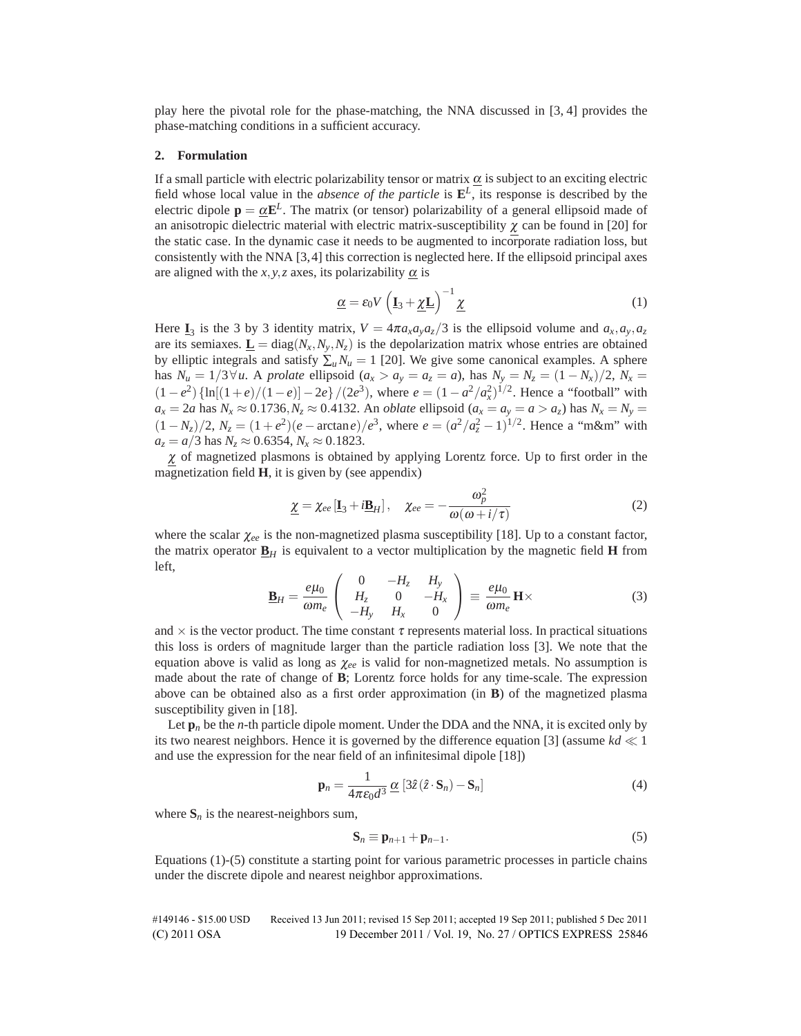play here the pivotal role for the phase-matching, the NNA discussed in [3, 4] provides the phase-matching conditions in a sufficient accuracy.

## **2. Formulation**

If a small particle with electric polarizability tensor or matrix  $\alpha$  is subject to an exciting electric field whose local value in the *absence of the particle* is  $\mathbf{E}^L$ , its response is described by the electric dipole  $p = \alpha E^L$ . The matrix (or tensor) polarizability of a general ellipsoid made of an anisotropic dielectric material with electric matrix-susceptibility  $\chi$  can be found in [20] for the static case. In the dynamic case it needs to be augmented to incorporate radiation loss, but consistently with the NNA [3, 4] this correction is neglected here. If the ellipsoid principal axes are aligned with the  $x, y, z$  axes, its polarizability  $\alpha$  is

$$
\underline{\alpha} = \varepsilon_0 V \left( \underline{\mathbf{I}}_3 + \underline{\chi} \underline{\mathbf{L}} \right)^{-1} \underline{\chi} \tag{1}
$$

Here **I**<sub>3</sub> is the 3 by 3 identity matrix,  $V = 4\pi a_x a_y a_z/3$  is the ellipsoid volume and  $a_x, a_y, a_z$ are its semiaxes.  $\underline{\mathbf{L}} = \text{diag}(N_x, N_y, N_z)$  is the depolarization matrix whose entries are obtained by elliptic integrals and satisfy  $\sum_{u} N_u = 1$  [20]. We give some canonical examples. A sphere has *N<sub>u</sub>* = 1/3∀*u*. A *prolate* ellipsoid (*a<sub>x</sub>* > *a<sub>y</sub>* = *a<sub>z</sub>* = *a*), has *N<sub>y</sub>* = *N<sub>z</sub>* = (1 − *N<sub>x</sub>*)/2, *N<sub>x</sub>* =  $(1 - e^2)$  {ln[ $(1 + e)/(1 - e)$ ] - 2*e*}/(2*e*<sup>3</sup>), where  $e = (1 - a^2/a_x^2)^{1/2}$ . Hence a "football" with  $a_x = 2a$  has  $N_x \approx 0.1736$ ,  $N_z \approx 0.4132$ . An *oblate* ellipsoid ( $a_x = a_y = a > a_z$ ) has  $N_x = N_y =$  $(1 - N_z)/2$ ,  $N_z = (1 + e^2)(e - \arctan e)/e^3$ , where  $e = (a^2/a_z^2 - 1)^{1/2}$ . Hence a "m&m" with  $a_z = a/3$  has  $N_z \approx 0.6354$ ,  $N_x \approx 0.1823$ .

 $\chi$  of magnetized plasmons is obtained by applying Lorentz force. Up to first order in the magnetization field **H**, it is given by (see appendix)

$$
\underline{\chi} = \chi_{ee} \left[ \underline{\mathbf{I}}_3 + i \underline{\mathbf{B}}_H \right], \quad \chi_{ee} = -\frac{\omega_p^2}{\omega(\omega + i/\tau)} \tag{2}
$$

where the scalar <sup>χ</sup>*ee* is the non-magnetized plasma susceptibility [18]. Up to a constant factor, the matrix operator  $\underline{\mathbf{B}}_H$  is equivalent to a vector multiplication by the magnetic field **H** from left,

$$
\underline{\mathbf{B}}_H = \frac{e\mu_0}{\omega m_e} \begin{pmatrix} 0 & -H_z & H_y \\ H_z & 0 & -H_x \\ -H_y & H_x & 0 \end{pmatrix} \equiv \frac{e\mu_0}{\omega m_e} \mathbf{H} \times \tag{3}
$$

and  $\times$  is the vector product. The time constant  $\tau$  represents material loss. In practical situations this loss is orders of magnitude larger than the particle radiation loss [3]. We note that the equation above is valid as long as <sup>χ</sup>*ee* is valid for non-magnetized metals. No assumption is made about the rate of change of **B**; Lorentz force holds for any time-scale. The expression above can be obtained also as a first order approximation (in **B**) of the magnetized plasma susceptibility given in [18].

Let  $\mathbf{p}_n$  be the *n*-th particle dipole moment. Under the DDA and the NNA, it is excited only by its two nearest neighbors. Hence it is governed by the difference equation [3] (assume  $kd \ll 1$ and use the expression for the near field of an infinitesimal dipole [18])

$$
\mathbf{p}_n = \frac{1}{4\pi\epsilon_0 d^3} \underline{\alpha} \left[ 3\hat{z}(\hat{z} \cdot \mathbf{S}_n) - \mathbf{S}_n \right] \tag{4}
$$

where  $S_n$  is the nearest-neighbors sum,

$$
\mathbf{S}_n \equiv \mathbf{p}_{n+1} + \mathbf{p}_{n-1}.\tag{5}
$$

Equations (1)-(5) constitute a starting point for various parametric processes in particle chains under the discrete dipole and nearest neighbor approximations.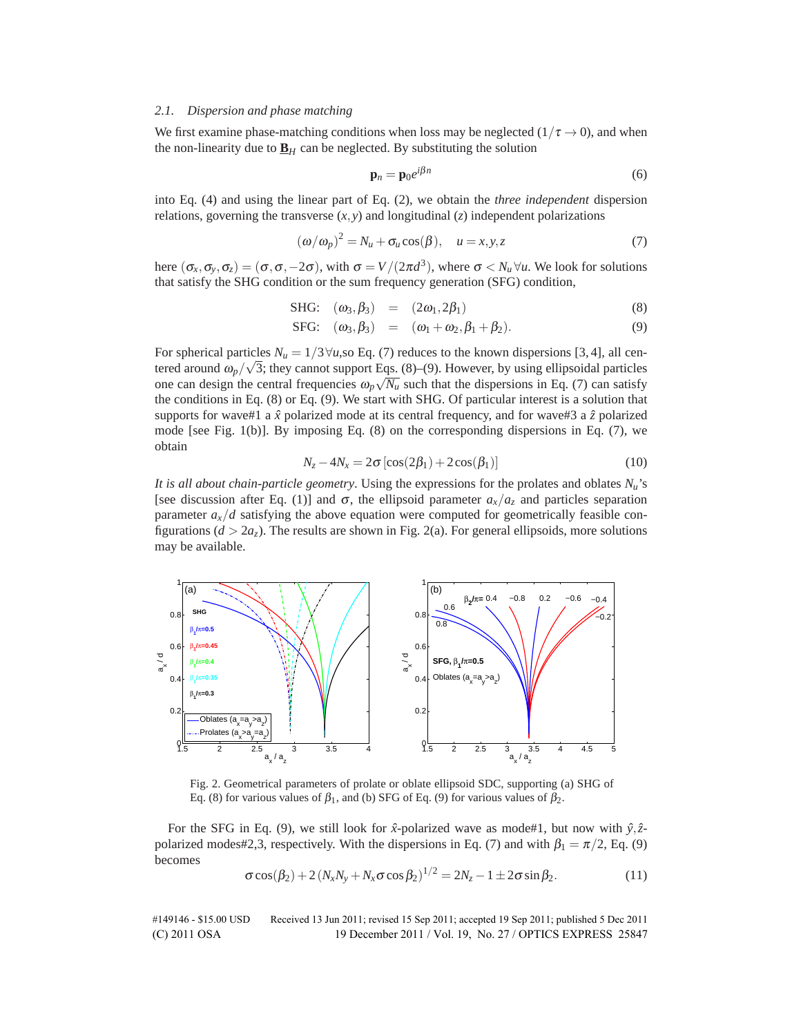## *2.1. Dispersion and phase matching*

We first examine phase-matching conditions when loss may be neglected ( $1/\tau \rightarrow 0$ ), and when the non-linearity due to  $\underline{\mathbf{B}}_H$  can be neglected. By substituting the solution

$$
\mathbf{p}_n = \mathbf{p}_0 e^{i\beta n} \tag{6}
$$

into Eq. (4) and using the linear part of Eq. (2), we obtain the *three independent* dispersion relations, governing the transverse  $(x, y)$  and longitudinal  $(z)$  independent polarizations

$$
(\omega/\omega_p)^2 = N_u + \sigma_u \cos(\beta), \quad u = x, y, z \tag{7}
$$

here  $(\sigma_x, \sigma_y, \sigma_z) = (\sigma, \sigma, -2\sigma)$ , with  $\sigma = V/(2\pi d^3)$ , where  $\sigma < N_u \forall u$ . We look for solutions that satisfy the SHG condition or the sum frequency generation (SFG) condition,

SHG: 
$$
(\omega_3, \beta_3) = (2\omega_1, 2\beta_1)
$$
 (8)

SFG: 
$$
(\omega_3, \beta_3)
$$
 =  $(\omega_1 + \omega_2, \beta_1 + \beta_2).$  (9)

For spherical particles  $N_u = 1/3 \forall u$ , so Eq. (7) reduces to the known dispersions [3, 4], all cen-For spherical particles  $N_u = 1/3$  v*u*, so Eq. (*t*) reduces to the known dispersions [3, 4], all centered around  $\omega_p/\sqrt{3}$ ; they cannot support Eqs. (8)–(9). However, by using ellipsoidal particles one can design the central frequencies  $\omega_p \sqrt{N_u}$  such that the dispersions in Eq. (7) can satisfy the conditions in Eq. (8) or Eq. (9). We start with SHG. Of particular interest is a solution that supports for wave#1 a  $\hat{x}$  polarized mode at its central frequency, and for wave#3 a  $\hat{z}$  polarized mode [see Fig. 1(b)]. By imposing Eq. (8) on the corresponding dispersions in Eq. (7), we obtain

$$
N_z - 4N_x = 2\sigma \left[ \cos(2\beta_1) + 2\cos(\beta_1) \right]
$$
 (10)

*It is all about chain-particle geometry*. Using the expressions for the prolates and oblates  $N_u$ 's [see discussion after Eq. (1)] and  $\sigma$ , the ellipsoid parameter  $a_x/a_z$  and particles separation parameter  $a_x/d$  satisfying the above equation were computed for geometrically feasible configurations  $(d > 2a_z)$ . The results are shown in Fig. 2(a). For general ellipsoids, more solutions may be available.



Fig. 2. Geometrical parameters of prolate or oblate ellipsoid SDC, supporting (a) SHG of Eq. (8) for various values of  $\beta_1$ , and (b) SFG of Eq. (9) for various values of  $\beta_2$ .

For the SFG in Eq. (9), we still look for  $\hat{x}$ -polarized wave as mode#1, but now with  $\hat{y}, \hat{z}$ polarized modes#2,3, respectively. With the dispersions in Eq. (7) and with  $\beta_1 = \pi/2$ , Eq. (9) becomes

$$
\sigma \cos(\beta_2) + 2(N_x N_y + N_x \sigma \cos \beta_2)^{1/2} = 2N_z - 1 \pm 2\sigma \sin \beta_2.
$$
 (11)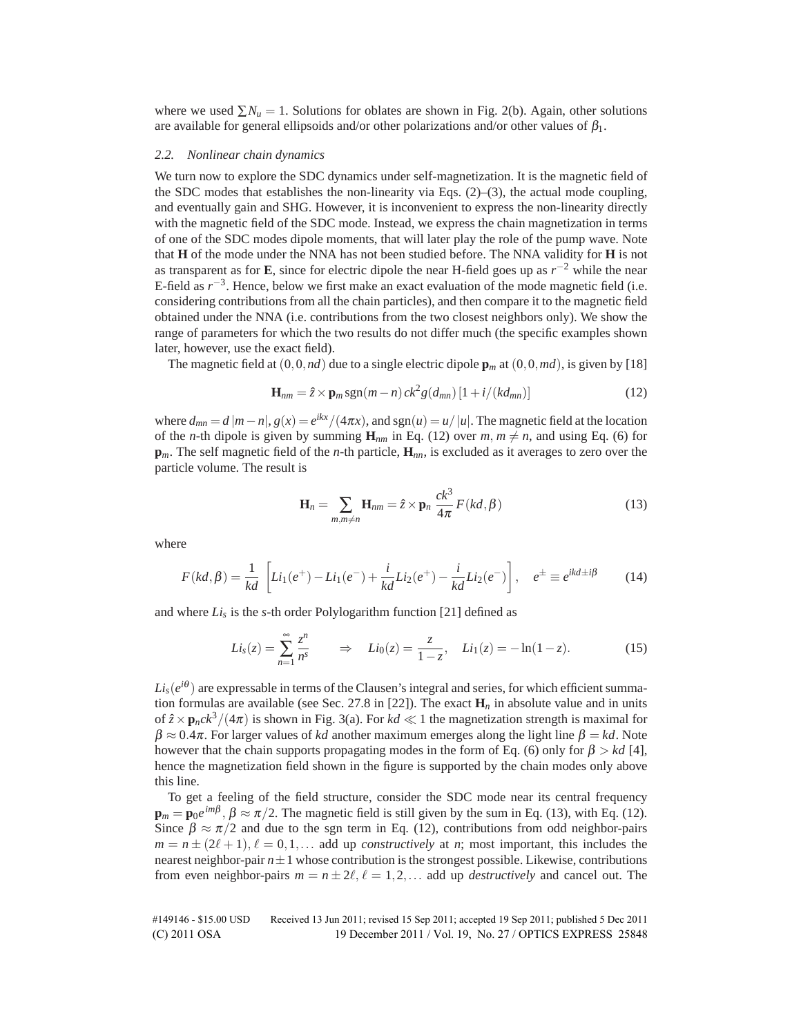where we used  $\sum N_u = 1$ . Solutions for oblates are shown in Fig. 2(b). Again, other solutions are available for general ellipsoids and/or other polarizations and/or other values of  $\beta_1$ .

#### *2.2. Nonlinear chain dynamics*

We turn now to explore the SDC dynamics under self-magnetization. It is the magnetic field of the SDC modes that establishes the non-linearity via Eqs. (2)–(3), the actual mode coupling, and eventually gain and SHG. However, it is inconvenient to express the non-linearity directly with the magnetic field of the SDC mode. Instead, we express the chain magnetization in terms of one of the SDC modes dipole moments, that will later play the role of the pump wave. Note that **H** of the mode under the NNA has not been studied before. The NNA validity for **H** is not as transparent as for **E**, since for electric dipole the near H-field goes up as *r*−<sup>2</sup> while the near E-field as *r*<sup>−</sup>3. Hence, below we first make an exact evaluation of the mode magnetic field (i.e. considering contributions from all the chain particles), and then compare it to the magnetic field obtained under the NNA (i.e. contributions from the two closest neighbors only). We show the range of parameters for which the two results do not differ much (the specific examples shown later, however, use the exact field).

The magnetic field at  $(0,0,nd)$  due to a single electric dipole  $\mathbf{p}_m$  at  $(0,0,md)$ , is given by [18]

$$
\mathbf{H}_{nm} = \hat{z} \times \mathbf{p}_m \operatorname{sgn}(m-n) \operatorname{ck}^2 g(d_{mn}) \left[1 + i/(k d_{mn})\right] \tag{12}
$$

where  $d_{mn} = d |m-n|$ ,  $g(x) = e^{ikx}/(4\pi x)$ , and  $sgn(u) = u/|u|$ . The magnetic field at the location of the *n*-th dipole is given by summing  $\mathbf{H}_{nm}$  in Eq. (12) over  $m, m \neq n$ , and using Eq. (6) for **p***m*. The self magnetic field of the *n*-th particle, **H***nn*, is excluded as it averages to zero over the particle volume. The result is

$$
\mathbf{H}_n = \sum_{m,m \neq n} \mathbf{H}_{nm} = \hat{z} \times \mathbf{p}_n \frac{ck^3}{4\pi} F(kd, \beta)
$$
 (13)

where

$$
F(kd, \beta) = \frac{1}{kd} \left[ Li_1(e^+) - Li_1(e^-) + \frac{i}{kd} Li_2(e^+) - \frac{i}{kd} Li_2(e^-) \right], \quad e^{\pm} \equiv e^{ikd \pm i\beta} \tag{14}
$$

and where  $Li_s$  is the *s*-th order Polylogarithm function [21] defined as

$$
Li_s(z) = \sum_{n=1}^{\infty} \frac{z^n}{n^s} \qquad \Rightarrow \quad Li_0(z) = \frac{z}{1-z}, \quad Li_1(z) = -\ln(1-z). \tag{15}
$$

 $Li<sub>s</sub>(e^{i\theta})$  are expressable in terms of the Clausen's integral and series, for which efficient summation formulas are available (see Sec. 27.8 in [22]). The exact  $\mathbf{H}_n$  in absolute value and in units of  $\hat{z} \times \mathbf{p}_n c k^3 / (4\pi)$  is shown in Fig. 3(a). For  $kd \ll 1$  the magnetization strength is maximal for  $\beta \approx 0.4\pi$ . For larger values of *kd* another maximum emerges along the light line  $\beta = kd$ . Note however that the chain supports propagating modes in the form of Eq. (6) only for  $\beta > kd$  [4], hence the magnetization field shown in the figure is supported by the chain modes only above this line.

To get a feeling of the field structure, consider the SDC mode near its central frequency  $\mathbf{p}_m = \mathbf{p}_0 e^{im\beta}, \beta \approx \pi/2$ . The magnetic field is still given by the sum in Eq. (13), with Eq. (12). Since  $\beta \approx \pi/2$  and due to the sgn term in Eq. (12), contributions from odd neighbor-pairs  $m = n \pm (2\ell + 1), \ell = 0, 1, \ldots$  add up *constructively* at *n*; most important, this includes the nearest neighbor-pair  $n \pm 1$  whose contribution is the strongest possible. Likewise, contributions from even neighbor-pairs  $m = n \pm 2\ell, \ell = 1, 2, \ldots$  add up *destructively* and cancel out. The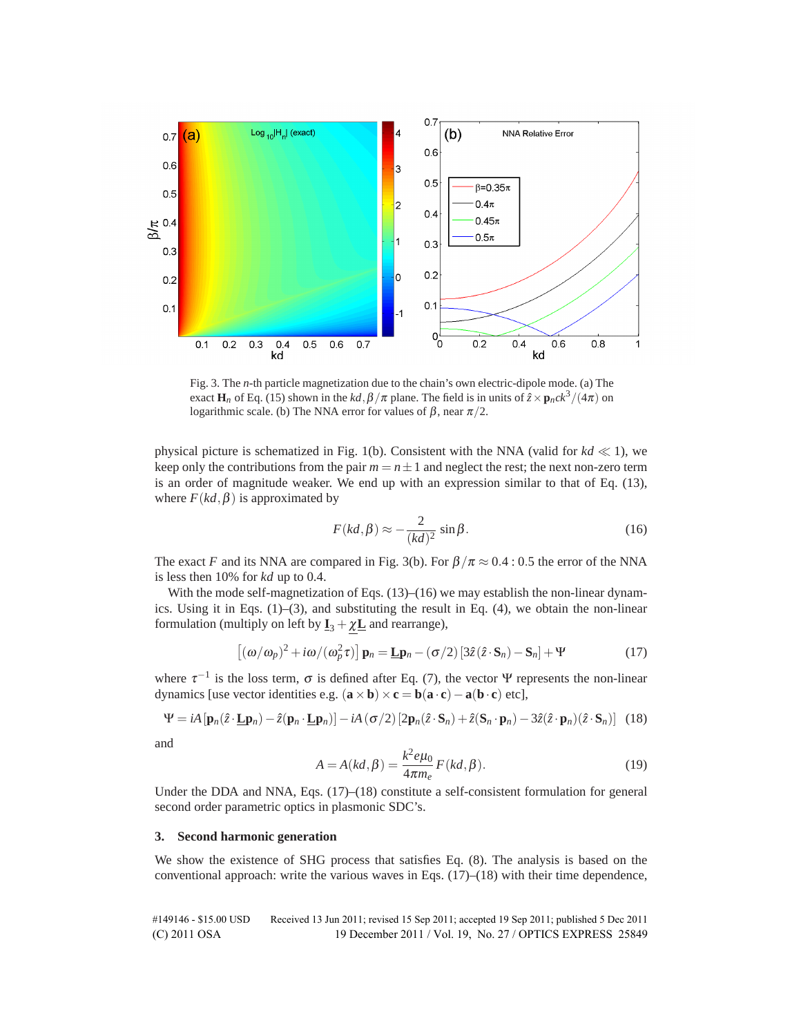

Fig. 3. The *n*-th particle magnetization due to the chain's own electric-dipole mode. (a) The exact **H**<sub>n</sub> of Eq. (15) shown in the  $kd$ ,  $\beta/\pi$  plane. The field is in units of  $\hat{z} \times \mathbf{p}_n ck^3/(4\pi)$  on logarithmic scale. (b) The NNA error for values of  $\beta$ , near  $\pi/2$ .

physical picture is schematized in Fig. 1(b). Consistent with the NNA (valid for  $kd \ll 1$ ), we keep only the contributions from the pair  $m = n \pm 1$  and neglect the rest; the next non-zero term is an order of magnitude weaker. We end up with an expression similar to that of Eq. (13), where  $F(kd, \beta)$  is approximated by

$$
F(kd, \beta) \approx -\frac{2}{(kd)^2} \sin \beta.
$$
 (16)

The exact *F* and its NNA are compared in Fig. 3(b). For  $\beta/\pi \approx 0.4$ : 0.5 the error of the NNA is less then 10% for *kd* up to 0.4.

With the mode self-magnetization of Eqs.  $(13)$ – $(16)$  we may establish the non-linear dynamics. Using it in Eqs.  $(1)$ – $(3)$ , and substituting the result in Eq.  $(4)$ , we obtain the non-linear formulation (multiply on left by  $\mathbf{I}_3 + \chi \mathbf{L}$  and rearrange),

$$
\left[ (\omega/\omega_p)^2 + i\omega/(\omega_p^2 \tau) \right] \mathbf{p}_n = \underline{\mathbf{L}} \mathbf{p}_n - (\sigma/2) \left[ 3\hat{z} (\hat{z} \cdot \mathbf{S}_n) - \mathbf{S}_n \right] + \Psi \tag{17}
$$

where  $\tau^{-1}$  is the loss term,  $\sigma$  is defined after Eq. (7), the vector Ψ represents the non-linear dynamics [use vector identities e.g.  $(\mathbf{a} \times \mathbf{b}) \times \mathbf{c} = \mathbf{b}(\mathbf{a} \cdot \mathbf{c}) - \mathbf{a}(\mathbf{b} \cdot \mathbf{c})$  etc],

$$
\Psi = iA \left[ \mathbf{p}_n(\hat{z} \cdot \mathbf{\underline{L}} \mathbf{p}_n) - \hat{z}(\mathbf{p}_n \cdot \mathbf{\underline{L}} \mathbf{p}_n) \right] - iA \left( \sigma/2 \right) \left[ 2 \mathbf{p}_n(\hat{z} \cdot \mathbf{S}_n) + \hat{z}(\mathbf{S}_n \cdot \mathbf{p}_n) - 3\hat{z}(\hat{z} \cdot \mathbf{p}_n)(\hat{z} \cdot \mathbf{S}_n) \right] \tag{18}
$$

and

$$
A = A(kd, \beta) = \frac{k^2 e \mu_0}{4\pi m_e} F(kd, \beta).
$$
 (19)

Under the DDA and NNA, Eqs. (17)–(18) constitute a self-consistent formulation for general second order parametric optics in plasmonic SDC's.

## **3. Second harmonic generation**

We show the existence of SHG process that satisfies Eq. (8). The analysis is based on the conventional approach: write the various waves in Eqs.  $(17)$ – $(18)$  with their time dependence,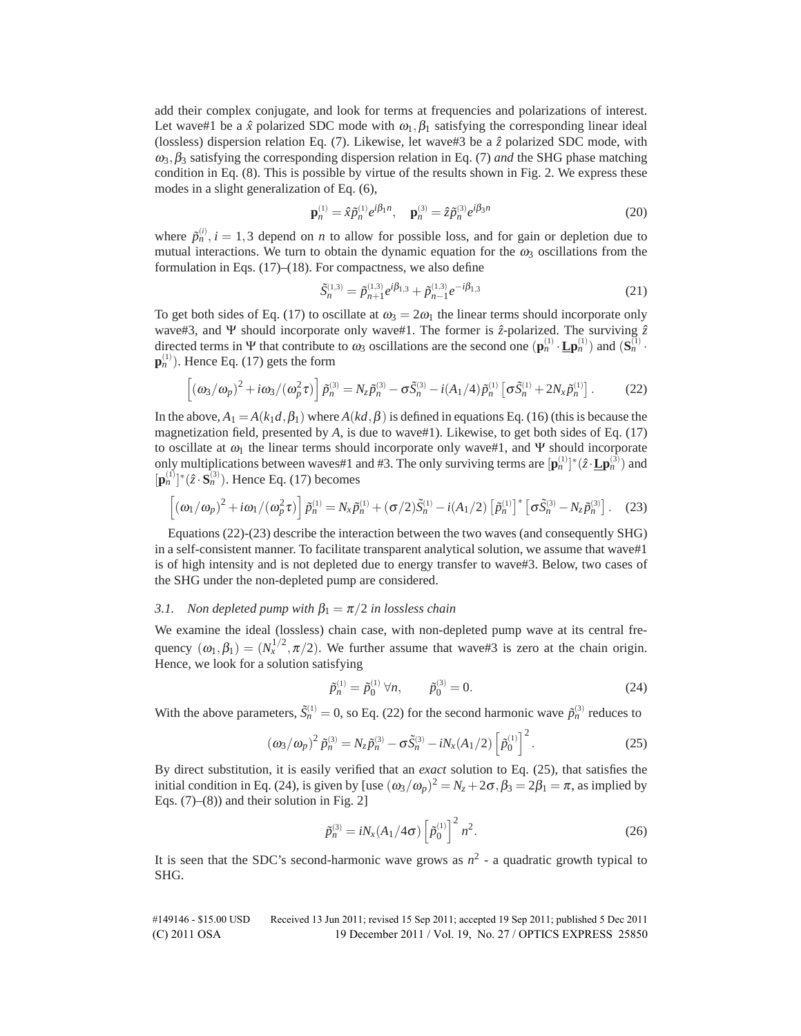add their complex conjugate, and look for terms at frequencies and polarizations of interest. Let wave#1 be a  $\hat{x}$  polarized SDC mode with  $\omega_1, \beta_1$  satisfying the corresponding linear ideal (lossless) dispersion relation Eq. (7). Likewise, let wave#3 be a ˆ*z* polarized SDC mode, with <sup>ω</sup>3,β<sup>3</sup> satisfying the corresponding dispersion relation in Eq. (7) *and* the SHG phase matching condition in Eq. (8). This is possible by virtue of the results shown in Fig. 2. We express these modes in a slight generalization of Eq. (6),

$$
\mathbf{p}_n^{(1)} = \hat{x}\tilde{p}_n^{(1)}e^{i\beta_1 n}, \quad \mathbf{p}_n^{(3)} = \hat{z}\tilde{p}_n^{(3)}e^{i\beta_3 n} \tag{20}
$$

where  $\tilde{p}_n^{(i)}$ ,  $i = 1,3$  depend on *n* to allow for possible loss, and for gain or depletion due to mutual interactions. We turn to obtain the dynamic equation for the  $\omega_3$  oscillations from the formulation in Eqs. (17)–(18). For compactness, we also define

$$
\tilde{S}_n^{(1,3)} = \tilde{p}_{n+1}^{(1,3)} e^{i\beta_{1,3}} + \tilde{p}_{n-1}^{(1,3)} e^{-i\beta_{1,3}} \tag{21}
$$

To get both sides of Eq. (17) to oscillate at  $\omega_3 = 2\omega_1$  the linear terms should incorporate only wave#3, and Ψ should incorporate only wave#1. The former is  $\hat{z}$ -polarized. The surviving  $\hat{z}$ directed terms in  $\Psi$  that contribute to  $\omega_3$  oscillations are the second one  $(\mathbf{p}_n^{(1)} \cdot \mathbf{L} \mathbf{p}_n^{(1)})$  and  $(\mathbf{S}_n^{(1)} \cdot \mathbf{L} \mathbf{P}_n^{(1)})$  $\mathbf{p}_n^{(1)}$ ). Hence Eq. (17) gets the form

$$
\[ (\omega_3/\omega_p)^2 + i\omega_3/(\omega_p^2 \tau) \] \tilde{p}_n^{(3)} = N_z \tilde{p}_n^{(3)} - \sigma \tilde{S}_n^{(3)} - i(A_1/4) \tilde{p}_n^{(1)} \left[ \sigma \tilde{S}_n^{(1)} + 2N_x \tilde{p}_n^{(1)} \right].
$$
 (22)

In the above,  $A_1 = A(k_1d, \beta_1)$  where  $A(kd, \beta)$  is defined in equations Eq. (16) (this is because the magnetization field, presented by *A*, is due to wave#1). Likewise, to get both sides of Eq. (17) to oscillate at  $\omega_1$  the linear terms should incorporate only wave#1, and Ψ should incorporate only multiplications between waves#1 and #3. The only surviving terms are  $[\mathbf{p}_n^{(1)}]^*(\hat{z}\cdot \mathbf{\underline{L}}\mathbf{p}_n^{(3)})$  and  $[p_n^{(1)}]^*(\hat{z} \cdot S_n^{(3)})$ . Hence Eq. (17) becomes

$$
\left[ (\omega_1/\omega_p)^2 + i \omega_1/(\omega_p^2 \tau) \right] \tilde{p}_n^{(1)} = N_x \tilde{p}_n^{(1)} + (\sigma/2) \tilde{S}_n^{(1)} - i (A_1/2) \left[ \tilde{p}_n^{(1)} \right]^* \left[ \sigma \tilde{S}_n^{(3)} - N_z \tilde{p}_n^{(3)} \right].
$$
 (23)

Equations (22)-(23) describe the interaction between the two waves (and consequently SHG) in a self-consistent manner. To facilitate transparent analytical solution, we assume that wave#1 is of high intensity and is not depleted due to energy transfer to wave#3. Below, two cases of the SHG under the non-depleted pump are considered.

## *3.1. Non depleted pump with*  $\beta_1 = \pi/2$  *in lossless chain*

We examine the ideal (lossless) chain case, with non-depleted pump wave at its central frequency  $(\omega_1, \beta_1) = (N_x^{1/2}, \pi/2)$ . We further assume that wave#3 is zero at the chain origin. Hence, we look for a solution satisfying

$$
\tilde{p}_n^{(1)} = \tilde{p}_0^{(1)} \,\forall n, \qquad \tilde{p}_0^{(3)} = 0.
$$
\n(24)

With the above parameters,  $\tilde{S}_n^{(1)} = 0$ , so Eq. (22) for the second harmonic wave  $\tilde{p}_n^{(3)}$  reduces to

$$
(\omega_3/\omega_p)^2 \tilde{p}_n^{(3)} = N_z \tilde{p}_n^{(3)} - \sigma \tilde{S}_n^{(3)} - iN_x (A_1/2) \left[ \tilde{p}_0^{(1)} \right]^2.
$$
 (25)

By direct substitution, it is easily verified that an *exact* solution to Eq. (25), that satisfies the initial condition in Eq. (24), is given by [use  $(\omega_3/\omega_p)^2 = N_z + 2\sigma$ ,  $\beta_3 = 2\beta_1 = \pi$ , as implied by Eqs.  $(7)$ – $(8)$ ) and their solution in Fig. 2]

$$
\tilde{p}_n^{(3)} = iN_x (A_1/4\sigma) \left[ \tilde{p}_0^{(1)} \right]^2 n^2.
$$
 (26)

It is seen that the SDC's second-harmonic wave grows as  $n^2$  - a quadratic growth typical to SHG.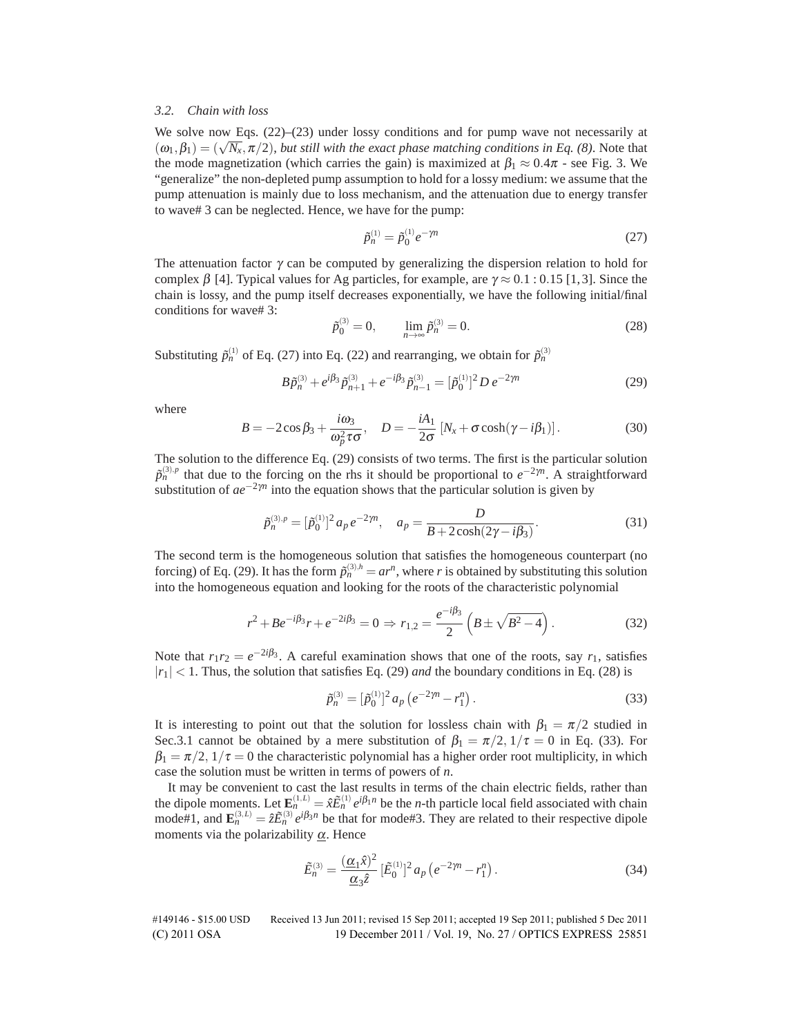## *3.2. Chain with loss*

We solve now Eqs.  $(22)$ – $(23)$  under lossy conditions and for pump wave not necessarily at  $(\omega_1,\beta_1)=(\sqrt{N_x},\pi/2)$ , *but still with the exact phase matching conditions in Eq.* (8). Note that the mode magnetization (which carries the gain) is maximized at  $\beta_1 \approx 0.4\pi$  - see Fig. 3. We "generalize" the non-depleted pump assumption to hold for a lossy medium: we assume that the pump attenuation is mainly due to loss mechanism, and the attenuation due to energy transfer to wave# 3 can be neglected. Hence, we have for the pump:

$$
\tilde{p}_n^{(1)} = \tilde{p}_0^{(1)} e^{-\gamma n} \tag{27}
$$

The attenuation factor  $\gamma$  can be computed by generalizing the dispersion relation to hold for complex  $\beta$  [4]. Typical values for Ag particles, for example, are  $\gamma \approx 0.1$ : 0.15 [1,3]. Since the chain is lossy, and the pump itself decreases exponentially, we have the following initial/final conditions for wave# 3:

$$
\tilde{p}_0^{(3)} = 0, \qquad \lim_{n \to \infty} \tilde{p}_n^{(3)} = 0.
$$
\n(28)

Substituting  $\tilde{p}_n^{(1)}$  of Eq. (27) into Eq. (22) and rearranging, we obtain for  $\tilde{p}_n^{(3)}$ 

$$
B\tilde{p}_n^{(3)} + e^{i\beta_3} \tilde{p}_{n+1}^{(3)} + e^{-i\beta_3} \tilde{p}_{n-1}^{(3)} = [\tilde{p}_0^{(1)}]^2 D e^{-2\gamma n}
$$
 (29)

where

$$
B = -2\cos\beta_3 + \frac{i\omega_3}{\omega_p^2 \tau \sigma}, \quad D = -\frac{iA_1}{2\sigma} \left[ N_x + \sigma \cosh(\gamma - i\beta_1) \right]. \tag{30}
$$

The solution to the difference Eq. (29) consists of two terms. The first is the particular solution  $\tilde{p}_n^{(3),p}$  that due to the forcing on the rhs it should be proportional to  $e^{-2\gamma n}$ . A straightforward substitution of  $ae^{-2\gamma n}$  into the equation shows that the particular solution is given by

$$
\tilde{p}_n^{(3),p} = [\tilde{p}_0^{(1)}]^2 a_p e^{-2\gamma n}, \quad a_p = \frac{D}{B + 2\cosh(2\gamma - i\beta_3)}.
$$
\n(31)

The second term is the homogeneous solution that satisfies the homogeneous counterpart (no forcing) of Eq. (29). It has the form  $\tilde{p}_n^{(3),h} = ar^n$ , where *r* is obtained by substituting this solution into the homogeneous equation and looking for the roots of the characteristic polynomial

$$
r^{2} + Be^{-i\beta_{3}}r + e^{-2i\beta_{3}} = 0 \Rightarrow r_{1,2} = \frac{e^{-i\beta_{3}}}{2} \left( B \pm \sqrt{B^{2} - 4} \right). \tag{32}
$$

Note that  $r_1r_2 = e^{-2i\beta_3}$ . A careful examination shows that one of the roots, say  $r_1$ , satisfies  $|r_1|$  < 1. Thus, the solution that satisfies Eq. (29) *and* the boundary conditions in Eq. (28) is

$$
\tilde{p}_n^{(3)} = [\tilde{p}_0^{(1)}]^2 a_p \left( e^{-2\gamma n} - r_1^n \right). \tag{33}
$$

It is interesting to point out that the solution for lossless chain with  $\beta_1 = \pi/2$  studied in Sec.3.1 cannot be obtained by a mere substitution of  $\beta_1 = \pi/2$ ,  $1/\tau = 0$  in Eq. (33). For  $\beta_1 = \pi/2$ ,  $1/\tau = 0$  the characteristic polynomial has a higher order root multiplicity, in which case the solution must be written in terms of powers of *n*.

It may be convenient to cast the last results in terms of the chain electric fields, rather than the dipole moments. Let  $\mathbf{E}_n^{(1,L)} = \hat{x} \tilde{E}_n^{(1)} e^{i\beta_1 n}$  be the *n*-th particle local field associated with chain mode#1, and  $\mathbf{E}_n^{(3,L)} = \hat{z}\tilde{E}_n^{(3)}e^{i\beta_3 n}$  be that for mode#3. They are related to their respective dipole moments via the polarizability  $\alpha$ . Hence

$$
\tilde{E}_n^{(3)} = \frac{(\underline{\alpha}_1 \hat{x})^2}{\underline{\alpha}_3 \hat{z}} \left[ \tilde{E}_0^{(1)} \right]^2 a_p \left( e^{-2\gamma n} - r_1^n \right). \tag{34}
$$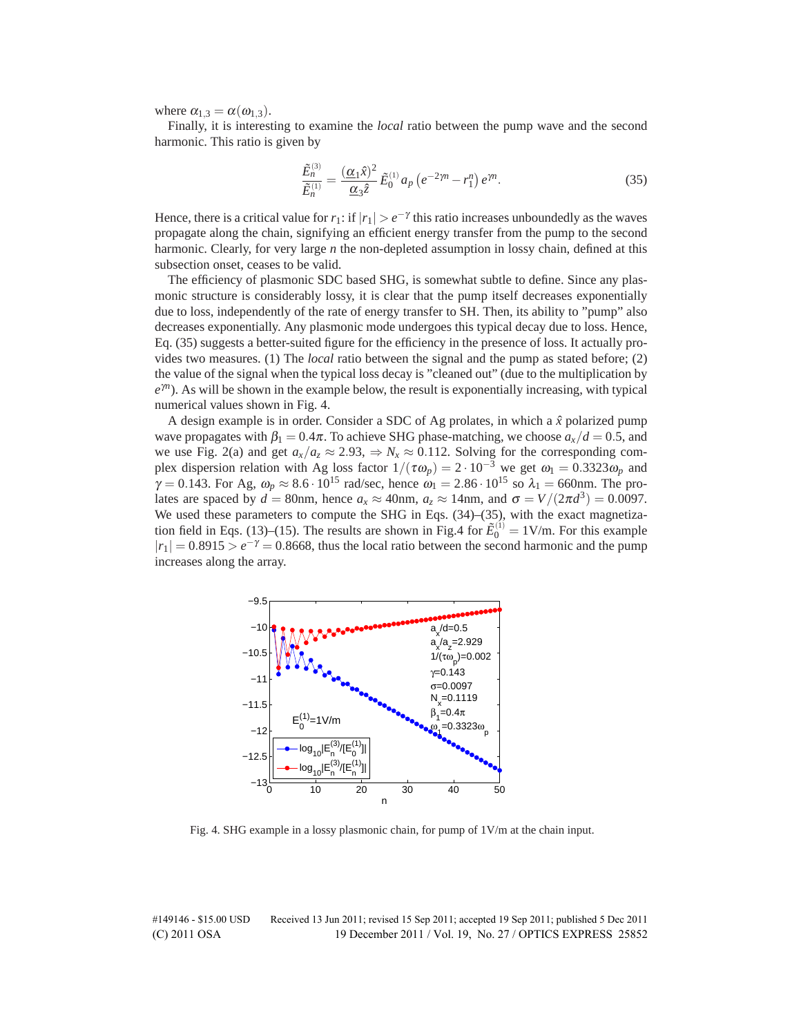where  $\alpha_{1,3} = \alpha(\omega_{1,3})$ .

Finally, it is interesting to examine the *local* ratio between the pump wave and the second harmonic. This ratio is given by

$$
\frac{\tilde{E}_n^{(3)}}{\tilde{E}_n^{(1)}} = \frac{(\alpha_1 \hat{x})^2}{\alpha_3 \hat{z}} \tilde{E}_0^{(1)} a_p \left( e^{-2\gamma n} - r_1^n \right) e^{\gamma n}.
$$
\n(35)

Hence, there is a critical value for  $r_1$ : if  $|r_1| > e^{-\gamma}$  this ratio increases unboundedly as the waves propagate along the chain, signifying an efficient energy transfer from the pump to the second harmonic. Clearly, for very large *n* the non-depleted assumption in lossy chain, defined at this subsection onset, ceases to be valid.

The efficiency of plasmonic SDC based SHG, is somewhat subtle to define. Since any plasmonic structure is considerably lossy, it is clear that the pump itself decreases exponentially due to loss, independently of the rate of energy transfer to SH. Then, its ability to "pump" also decreases exponentially. Any plasmonic mode undergoes this typical decay due to loss. Hence, Eq. (35) suggests a better-suited figure for the efficiency in the presence of loss. It actually provides two measures. (1) The *local* ratio between the signal and the pump as stated before; (2) the value of the signal when the typical loss decay is "cleaned out" (due to the multiplication by *e*γ*n*). As will be shown in the example below, the result is exponentially increasing, with typical numerical values shown in Fig. 4.

A design example is in order. Consider a SDC of Ag prolates, in which a  $\hat{x}$  polarized pump wave propagates with  $\beta_1 = 0.4\pi$ . To achieve SHG phase-matching, we choose  $a_x/d = 0.5$ , and we use Fig. 2(a) and get  $a_x/a_z \approx 2.93$ ,  $\Rightarrow N_x \approx 0.112$ . Solving for the corresponding complex dispersion relation with Ag loss factor  $1/(\tau \omega_p) = 2 \cdot 10^{-3}$  we get  $\omega_1 = 0.3323 \omega_p$  and  $\gamma = 0.143$ . For Ag,  $\omega_p \approx 8.6 \cdot 10^{15}$  rad/sec, hence  $\omega_1 = 2.86 \cdot 10^{15}$  so  $\lambda_1 = 660$ nm. The prolates are spaced by  $d = 80$ nm, hence  $a_x \approx 40$ nm,  $a_z \approx 14$ nm, and  $\sigma = V/(2\pi d^3) = 0.0097$ . We used these parameters to compute the SHG in Eqs. (34)–(35), with the exact magnetization field in Eqs. (13)–(15). The results are shown in Fig.4 for  $\tilde{E}_0^{(1)} = 1 \text{V/m}$ . For this example  $|r_1| = 0.8915 > e^{-\gamma} = 0.8668$ , thus the local ratio between the second harmonic and the pump increases along the array.



Fig. 4. SHG example in a lossy plasmonic chain, for pump of 1V/m at the chain input.